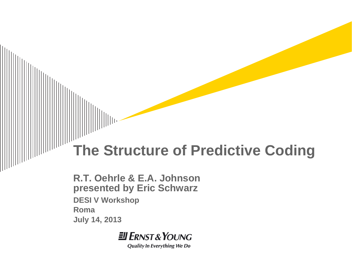### **The Structure of Predictive Coding**

**R.T. Oehrle & E.A. Johnson presented by Eric Schwarz DESI V Workshop Roma July 14, 2013**

**JI ERNST & YOUNG** 

**Quality In Everything We Do**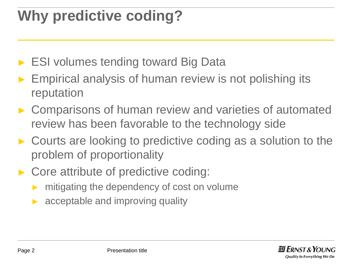# **Why predictive coding?**

- ► ESI volumes tending toward Big Data
- ► Empirical analysis of human review is not polishing its reputation
- ► Comparisons of human review and varieties of automated review has been favorable to the technology side
- ► Courts are looking to predictive coding as a solution to the problem of proportionality
- ► Core attribute of predictive coding:
	- mitigating the dependency of cost on volume
	- acceptable and improving quality

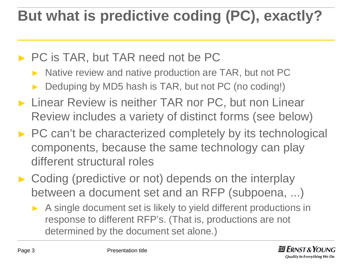## **But what is predictive coding (PC), exactly?**

#### ► PC is TAR, but TAR need not be PC

- ► Native review and native production are TAR, but not PC
- Deduping by MD5 hash is TAR, but not PC (no coding!)
- ► Linear Review is neither TAR nor PC, but non Linear Review includes a variety of distinct forms (see below)
- ► PC can't be characterized completely by its technological components, because the same technology can play different structural roles
- ► Coding (predictive or not) depends on the interplay between a document set and an RFP (subpoena, ...)
	- ► A single document set is likely to yield different productions in response to different RFP's. (That is, productions are not determined by the document set alone.)

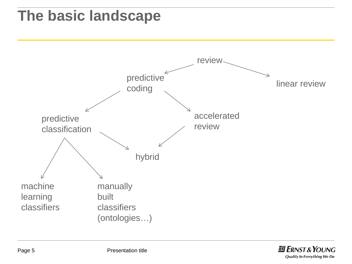### **The basic landscape**



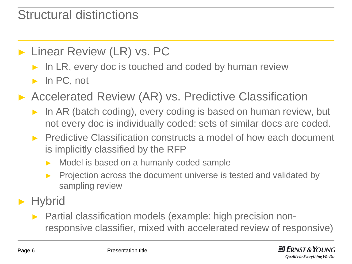#### Structural distinctions

#### ► Linear Review (LR) vs. PC

- In LR, every doc is touched and coded by human review
- ► In PC, not
- Accelerated Review (AR) vs. Predictive Classification
	- In AR (batch coding), every coding is based on human review, but not every doc is individually coded: sets of similar docs are coded.
	- ► Predictive Classification constructs a model of how each document is implicitly classified by the RFP
		- ► Model is based on a humanly coded sample
		- ► Projection across the document universe is tested and validated by sampling review
- ► Hybrid
	- ► Partial classification models (example: high precision nonresponsive classifier, mixed with accelerated review of responsive)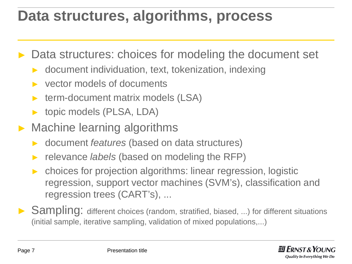### **Data structures, algorithms, process**

► Data structures: choices for modeling the document set

- ► document individuation, text, tokenization, indexing
- ► vector models of documents
- ► term-document matrix models (LSA)
- ► topic models (PLSA, LDA)
- ► Machine learning algorithms
	- ► document *features* (based on data structures)
	- ► relevance *labels* (based on modeling the RFP)
	- choices for projection algorithms: linear regression, logistic regression, support vector machines (SVM's), classification and regression trees (CART's), ...
- ► Sampling: different choices (random, stratified, biased, ...) for different situations (initial sample, iterative sampling, validation of mixed populations,...)